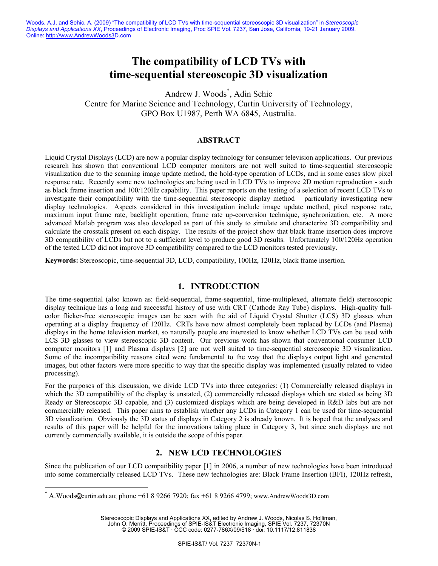Woods, A.J, and Sehic, A. (2009) "The compatibility of LCD TVs with time-sequential stereoscopic 3D visualization" in *Stereoscopic Displays and Applications XX*, Proceedings of Electronic Imaging, Proc SPIE Vol. 7237, San Jose, California, 19-21 January 2009. Online:<http://www.AndrewWoods3D.com>

# **The compatibility of LCD TVs with time-sequential stereoscopic 3D visualization**

Andrew J. Woods\* , Adin Sehic Centre for Marine Science and Technology, Curtin University of Technology, GPO Box U1987, Perth WA 6845, Australia.

#### **ABSTRACT**

Liquid Crystal Displays (LCD) are now a popular display technology for consumer television applications. Our previous research has shown that conventional LCD computer monitors are not well suited to time-sequential stereoscopic visualization due to the scanning image update method, the hold-type operation of LCDs, and in some cases slow pixel response rate. Recently some new technologies are being used in LCD TVs to improve 2D motion reproduction - such as black frame insertion and 100/120Hz capability. This paper reports on the testing of a selection of recent LCD TVs to investigate their compatibility with the time-sequential stereoscopic display method – particularly investigating new display technologies. Aspects considered in this investigation include image update method, pixel response rate, maximum input frame rate, backlight operation, frame rate up-conversion technique, synchronization, etc. A more advanced Matlab program was also developed as part of this study to simulate and characterize 3D compatibility and calculate the crosstalk present on each display. The results of the project show that black frame insertion does improve 3D compatibility of LCDs but not to a sufficient level to produce good 3D results. Unfortunately 100/120Hz operation of the tested LCD did not improve 3D compatibility compared to the LCD monitors tested previously.

**Keywords:** Stereoscopic, time-sequential 3D, LCD, compatibility, 100Hz, 120Hz, black frame insertion.

# **1. INTRODUCTION**

The time-sequential (also known as: field-sequential, frame-sequential, time-multiplexed, alternate field) stereoscopic display technique has a long and successful history of use with CRT (Cathode Ray Tube) displays. High-quality fullcolor flicker-free stereoscopic images can be seen with the aid of Liquid Crystal Shutter (LCS) 3D glasses when operating at a display frequency of 120Hz. CRTs have now almost completely been replaced by LCDs (and Plasma) displays in the home television market, so naturally people are interested to know whether LCD TVs can be used with LCS 3D glasses to view stereoscopic 3D content. Our previous work has shown that conventional consumer LCD computer monitors [1] and Plasma displays [2] are not well suited to time-sequential stereoscopic 3D visualization. Some of the incompatibility reasons cited were fundamental to the way that the displays output light and generated images, but other factors were more specific to way that the specific display was implemented (usually related to video processing).

For the purposes of this discussion, we divide LCD TVs into three categories: (1) Commercially released displays in which the 3D compatibility of the display is unstated, (2) commercially released displays which are stated as being 3D Ready or Stereoscopic 3D capable, and (3) customized displays which are being developed in R&D labs but are not commercially released. This paper aims to establish whether any LCDs in Category 1 can be used for time-sequential 3D visualization. Obviously the 3D status of displays in Category 2 is already known. It is hoped that the analyses and results of this paper will be helpful for the innovations taking place in Category 3, but since such displays are not currently commercially available, it is outside the scope of this paper.

# **2. NEW LCD TECHNOLOGIES**

Since the publication of our LCD compatibility paper [1] in 2006, a number of new technologies have been introduced into some commercially released LCD TVs. These new technologies are: Black Frame Insertion (BFI), 120Hz refresh,

 $\overline{a}$ 

Stereoscopic Displays and Applications XX, edited by Andrew J. Woods, Nicolas S. Holliman, John O. Merritt, Proceedings of SPIE-IS&T Electronic Imaging, SPIE Vol. 7237, 72370N © 2009 SPIE-IS&T · CCC code: 0277-786X/09/\$18 · doi: 10.1117/12.811838

<sup>\*</sup> A.Woods curtin.edu.au; phone +61 8 9266 7920; fax +61 8 9266 4799; www.AndrewWoods3D.com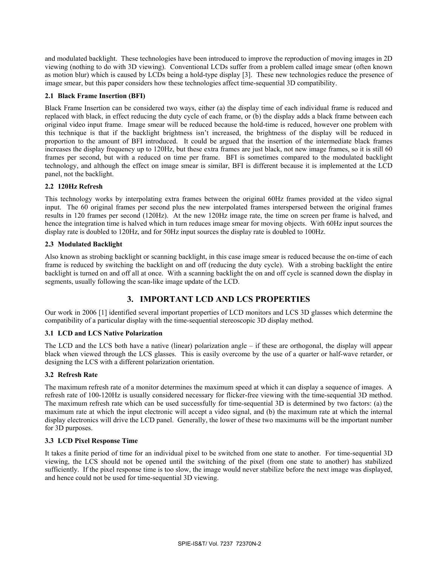and modulated backlight. These technologies have been introduced to improve the reproduction of moving images in 2D viewing (nothing to do with 3D viewing). Conventional LCDs suffer from a problem called image smear (often known as motion blur) which is caused by LCDs being a hold-type display [3]. These new technologies reduce the presence of image smear, but this paper considers how these technologies affect time-sequential 3D compatibility.

### **2.1 Black Frame Insertion (BFI)**

Black Frame Insertion can be considered two ways, either (a) the display time of each individual frame is reduced and replaced with black, in effect reducing the duty cycle of each frame, or (b) the display adds a black frame between each original video input frame. Image smear will be reduced because the hold-time is reduced, however one problem with this technique is that if the backlight brightness isn't increased, the brightness of the display will be reduced in proportion to the amount of BFI introduced. It could be argued that the insertion of the intermediate black frames increases the display frequency up to 120Hz, but these extra frames are just black, not new image frames, so it is still 60 frames per second, but with a reduced on time per frame. BFI is sometimes compared to the modulated backlight technology, and although the effect on image smear is similar, BFI is different because it is implemented at the LCD panel, not the backlight.

# **2.2 120Hz Refresh**

This technology works by interpolating extra frames between the original 60Hz frames provided at the video signal input. The 60 original frames per second plus the new interpolated frames interspersed between the original frames results in 120 frames per second (120Hz). At the new 120Hz image rate, the time on screen per frame is halved, and hence the integration time is halved which in turn reduces image smear for moving objects. With 60Hz input sources the display rate is doubled to 120Hz, and for 50Hz input sources the display rate is doubled to 100Hz.

### **2.3 Modulated Backlight**

Also known as strobing backlight or scanning backlight, in this case image smear is reduced because the on-time of each frame is reduced by switching the backlight on and off (reducing the duty cycle). With a strobing backlight the entire backlight is turned on and off all at once. With a scanning backlight the on and off cycle is scanned down the display in segments, usually following the scan-like image update of the LCD.

# **3. IMPORTANT LCD AND LCS PROPERTIES**

Our work in 2006 [1] identified several important properties of LCD monitors and LCS 3D glasses which determine the compatibility of a particular display with the time-sequential stereoscopic 3D display method.

#### **3.1 LCD and LCS Native Polarization**

The LCD and the LCS both have a native (linear) polarization angle – if these are orthogonal, the display will appear black when viewed through the LCS glasses. This is easily overcome by the use of a quarter or half-wave retarder, or designing the LCS with a different polarization orientation.

# **3.2 Refresh Rate**

The maximum refresh rate of a monitor determines the maximum speed at which it can display a sequence of images. A refresh rate of 100-120Hz is usually considered necessary for flicker-free viewing with the time-sequential 3D method. The maximum refresh rate which can be used successfully for time-sequential 3D is determined by two factors: (a) the maximum rate at which the input electronic will accept a video signal, and (b) the maximum rate at which the internal display electronics will drive the LCD panel. Generally, the lower of these two maximums will be the important number for 3D purposes.

#### **3.3 LCD Pixel Response Time**

It takes a finite period of time for an individual pixel to be switched from one state to another. For time-sequential 3D viewing, the LCS should not be opened until the switching of the pixel (from one state to another) has stabilized sufficiently. If the pixel response time is too slow, the image would never stabilize before the next image was displayed, and hence could not be used for time-sequential 3D viewing.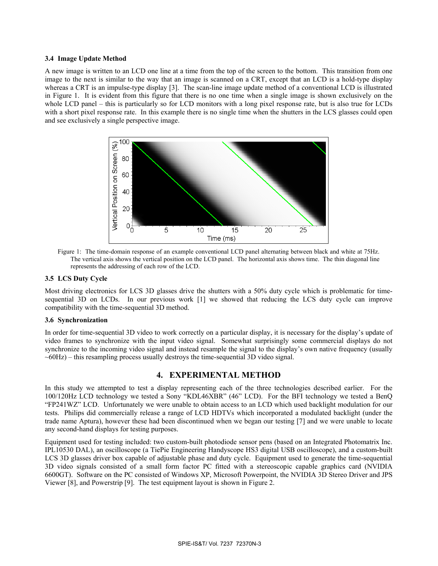### **3.4 Image Update Method**

A new image is written to an LCD one line at a time from the top of the screen to the bottom. This transition from one image to the next is similar to the way that an image is scanned on a CRT, except that an LCD is a hold-type display whereas a CRT is an impulse-type display [3]. The scan-line image update method of a conventional LCD is illustrated in Figure 1. It is evident from this figure that there is no one time when a single image is shown exclusively on the whole LCD panel – this is particularly so for LCD monitors with a long pixel response rate, but is also true for LCDs with a short pixel response rate. In this example there is no single time when the shutters in the LCS glasses could open and see exclusively a single perspective image.



Figure 1: The time-domain response of an example conventional LCD panel alternating between black and white at 75Hz. The vertical axis shows the vertical position on the LCD panel. The horizontal axis shows time. The thin diagonal line represents the addressing of each row of the LCD.

#### **3.5 LCS Duty Cycle**

Most driving electronics for LCS 3D glasses drive the shutters with a 50% duty cycle which is problematic for timesequential 3D on LCDs. In our previous work [1] we showed that reducing the LCS duty cycle can improve compatibility with the time-sequential 3D method.

#### **3.6 Synchronization**

In order for time-sequential 3D video to work correctly on a particular display, it is necessary for the display's update of video frames to synchronize with the input video signal. Somewhat surprisingly some commercial displays do not synchronize to the incoming video signal and instead resample the signal to the display's own native frequency (usually  $\sim$  60Hz) – this resampling process usually destroys the time-sequential 3D video signal.

# **4. EXPERIMENTAL METHOD**

In this study we attempted to test a display representing each of the three technologies described earlier. For the 100/120Hz LCD technology we tested a Sony "KDL46XBR" (46" LCD). For the BFI technology we tested a BenQ "FP241WZ" LCD. Unfortunately we were unable to obtain access to an LCD which used backlight modulation for our tests. Philips did commercially release a range of LCD HDTVs which incorporated a modulated backlight (under the trade name Aptura), however these had been discontinued when we began our testing [7] and we were unable to locate any second-hand displays for testing purposes.

Equipment used for testing included: two custom-built photodiode sensor pens (based on an Integrated Photomatrix Inc. IPL10530 DAL), an oscilloscope (a TiePie Engineering Handyscope HS3 digital USB oscilloscope), and a custom-built LCS 3D glasses driver box capable of adjustable phase and duty cycle. Equipment used to generate the time-sequential 3D video signals consisted of a small form factor PC fitted with a stereoscopic capable graphics card (NVIDIA 6600GT). Software on the PC consisted of Windows XP, Microsoft Powerpoint, the NVIDIA 3D Stereo Driver and JPS Viewer [8], and Powerstrip [9]. The test equipment layout is shown in Figure 2.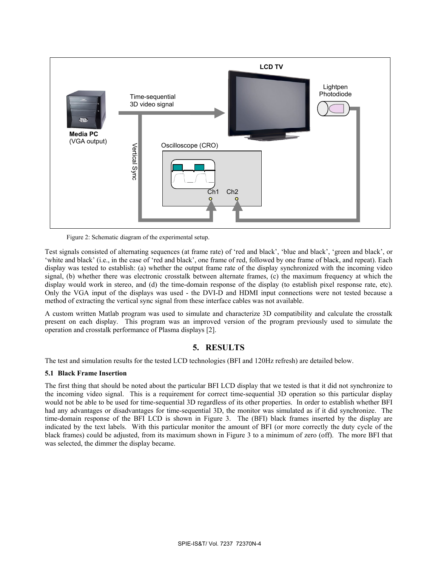

Figure 2: Schematic diagram of the experimental setup.

Test signals consisted of alternating sequences (at frame rate) of 'red and black', 'blue and black', 'green and black', or 'white and black' (i.e., in the case of 'red and black', one frame of red, followed by one frame of black, and repeat). Each display was tested to establish: (a) whether the output frame rate of the display synchronized with the incoming video signal, (b) whether there was electronic crosstalk between alternate frames, (c) the maximum frequency at which the display would work in stereo, and (d) the time-domain response of the display (to establish pixel response rate, etc). Only the VGA input of the displays was used - the DVI-D and HDMI input connections were not tested because a method of extracting the vertical sync signal from these interface cables was not available.

A custom written Matlab program was used to simulate and characterize 3D compatibility and calculate the crosstalk present on each display. This program was an improved version of the program previously used to simulate the operation and crosstalk performance of Plasma displays [2].

# **5. RESULTS**

The test and simulation results for the tested LCD technologies (BFI and 120Hz refresh) are detailed below.

# **5.1 Black Frame Insertion**

The first thing that should be noted about the particular BFI LCD display that we tested is that it did not synchronize to the incoming video signal. This is a requirement for correct time-sequential 3D operation so this particular display would not be able to be used for time-sequential 3D regardless of its other properties. In order to establish whether BFI had any advantages or disadvantages for time-sequential 3D, the monitor was simulated as if it did synchronize. The time-domain response of the BFI LCD is shown in Figure 3. The (BFI) black frames inserted by the display are indicated by the text labels. With this particular monitor the amount of BFI (or more correctly the duty cycle of the black frames) could be adjusted, from its maximum shown in Figure 3 to a minimum of zero (off). The more BFI that was selected, the dimmer the display became.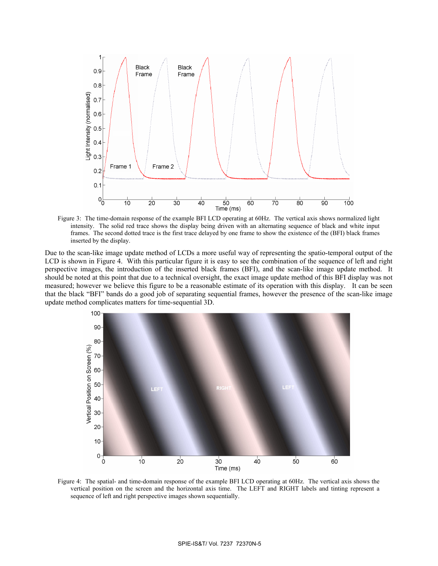

Figure 3: The time-domain response of the example BFI LCD operating at 60Hz. The vertical axis shows normalized light intensity. The solid red trace shows the display being driven with an alternating sequence of black and white input frames. The second dotted trace is the first trace delayed by one frame to show the existence of the (BFI) black frames inserted by the display.

Due to the scan-like image update method of LCDs a more useful way of representing the spatio-temporal output of the LCD is shown in Figure 4. With this particular figure it is easy to see the combination of the sequence of left and right perspective images, the introduction of the inserted black frames (BFI), and the scan-like image update method. It should be noted at this point that due to a technical oversight, the exact image update method of this BFI display was not measured; however we believe this figure to be a reasonable estimate of its operation with this display. It can be seen that the black "BFI" bands do a good job of separating sequential frames, however the presence of the scan-like image update method complicates matters for time-sequential 3D.



Figure 4: The spatial- and time-domain response of the example BFI LCD operating at 60Hz. The vertical axis shows the vertical position on the screen and the horizontal axis time. The LEFT and RIGHT labels and tinting represent a sequence of left and right perspective images shown sequentially.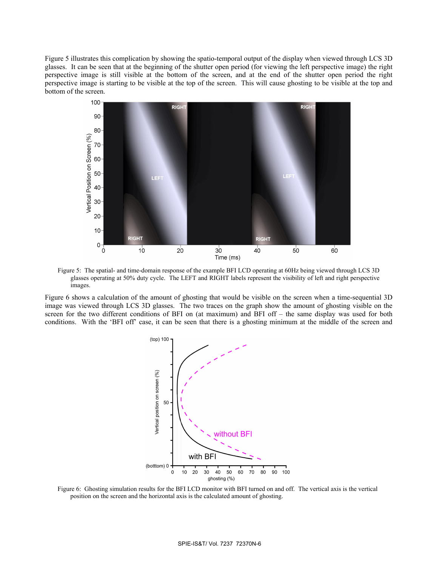Figure 5 illustrates this complication by showing the spatio-temporal output of the display when viewed through LCS 3D glasses. It can be seen that at the beginning of the shutter open period (for viewing the left perspective image) the right perspective image is still visible at the bottom of the screen, and at the end of the shutter open period the right perspective image is starting to be visible at the top of the screen. This will cause ghosting to be visible at the top and bottom of the screen.



Figure 5: The spatial- and time-domain response of the example BFI LCD operating at 60Hz being viewed through LCS 3D glasses operating at 50% duty cycle. The LEFT and RIGHT labels represent the visibility of left and right perspective images.

Figure 6 shows a calculation of the amount of ghosting that would be visible on the screen when a time-sequential 3D image was viewed through LCS 3D glasses. The two traces on the graph show the amount of ghosting visible on the screen for the two different conditions of BFI on (at maximum) and BFI off – the same display was used for both conditions. With the 'BFI off' case, it can be seen that there is a ghosting minimum at the middle of the screen and



Figure 6: Ghosting simulation results for the BFI LCD monitor with BFI turned on and off. The vertical axis is the vertical position on the screen and the horizontal axis is the calculated amount of ghosting.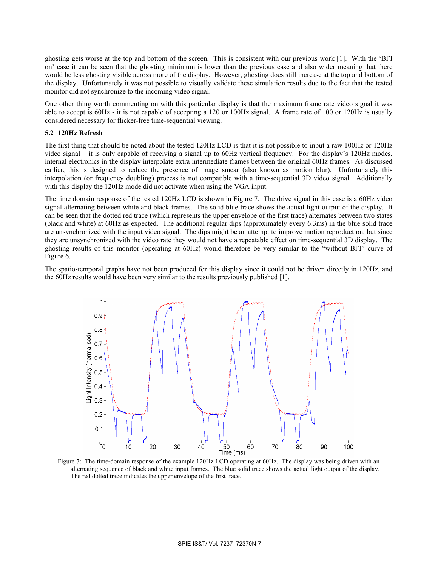ghosting gets worse at the top and bottom of the screen. This is consistent with our previous work [1]. With the 'BFI on' case it can be seen that the ghosting minimum is lower than the previous case and also wider meaning that there would be less ghosting visible across more of the display. However, ghosting does still increase at the top and bottom of the display. Unfortunately it was not possible to visually validate these simulation results due to the fact that the tested monitor did not synchronize to the incoming video signal.

One other thing worth commenting on with this particular display is that the maximum frame rate video signal it was able to accept is 60Hz - it is not capable of accepting a 120 or 100Hz signal. A frame rate of 100 or 120Hz is usually considered necessary for flicker-free time-sequential viewing.

### **5.2 120Hz Refresh**

The first thing that should be noted about the tested 120Hz LCD is that it is not possible to input a raw 100Hz or 120Hz video signal – it is only capable of receiving a signal up to 60Hz vertical frequency. For the display's 120Hz modes, internal electronics in the display interpolate extra intermediate frames between the original 60Hz frames. As discussed earlier, this is designed to reduce the presence of image smear (also known as motion blur). Unfortunately this interpolation (or frequency doubling) process is not compatible with a time-sequential 3D video signal. Additionally with this display the 120Hz mode did not activate when using the VGA input.

The time domain response of the tested 120Hz LCD is shown in Figure 7. The drive signal in this case is a 60Hz video signal alternating between white and black frames. The solid blue trace shows the actual light output of the display. It can be seen that the dotted red trace (which represents the upper envelope of the first trace) alternates between two states (black and white) at 60Hz as expected. The additional regular dips (approximately every 6.3ms) in the blue solid trace are unsynchronized with the input video signal. The dips might be an attempt to improve motion reproduction, but since they are unsynchronized with the video rate they would not have a repeatable effect on time-sequential 3D display. The ghosting results of this monitor (operating at 60Hz) would therefore be very similar to the "without BFI" curve of Figure 6.

The spatio-temporal graphs have not been produced for this display since it could not be driven directly in 120Hz, and the 60Hz results would have been very similar to the results previously published [1].



Figure 7: The time-domain response of the example 120Hz LCD operating at 60Hz. The display was being driven with an alternating sequence of black and white input frames. The blue solid trace shows the actual light output of the display. The red dotted trace indicates the upper envelope of the first trace.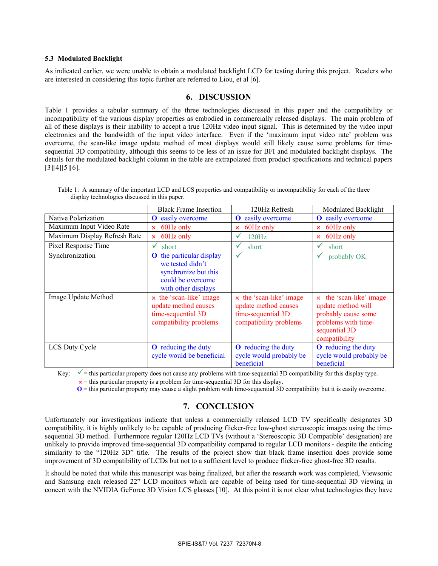### **5.3 Modulated Backlight**

As indicated earlier, we were unable to obtain a modulated backlight LCD for testing during this project. Readers who are interested in considering this topic further are referred to Liou, et al [6].

# **6. DISCUSSION**

Table 1 provides a tabular summary of the three technologies discussed in this paper and the compatibility or incompatibility of the various display properties as embodied in commercially released displays. The main problem of all of these displays is their inability to accept a true 120Hz video input signal. This is determined by the video input electronics and the bandwidth of the input video interface. Even if the 'maximum input video rate' problem was overcome, the scan-like image update method of most displays would still likely cause some problems for timesequential 3D compatibility, although this seems to be less of an issue for BFI and modulated backlight displays. The details for the modulated backlight column in the table are extrapolated from product specifications and technical papers  $[3][4][5][6]$ .

|                              | <b>Black Frame Insertion</b>                                                                                            | 120Hz Refresh                                                                                   | Modulated Backlight                                                                                                           |
|------------------------------|-------------------------------------------------------------------------------------------------------------------------|-------------------------------------------------------------------------------------------------|-------------------------------------------------------------------------------------------------------------------------------|
| Native Polarization          | easily overcome<br>$\bf o$                                                                                              | easily overcome<br>$\mathbf 0$                                                                  | <b>O</b> easily overcome                                                                                                      |
| Maximum Input Video Rate     | 60Hz only<br>×                                                                                                          | 60Hz only<br>$\boldsymbol{\times}$                                                              | 60Hz only<br>$\mathsf{x}$                                                                                                     |
| Maximum Display Refresh Rate | 60Hz only<br>$\mathsf{x}$                                                                                               | 120Hz<br>✔                                                                                      | 60Hz only<br>$\mathsf{x}$                                                                                                     |
| Pixel Response Time          | ✓<br>short                                                                                                              | short<br>✔                                                                                      | short<br>v                                                                                                                    |
| Synchronization              | <b>O</b> the particular display<br>we tested didn't<br>synchronize but this<br>could be overcome<br>with other displays | $\checkmark$                                                                                    | probably OK<br>✔                                                                                                              |
| Image Update Method          | x the 'scan-like' image<br>update method causes<br>time-sequential 3D<br>compatibility problems                         | x the 'scan-like' image<br>update method causes<br>time-sequential 3D<br>compatibility problems | x the 'scan-like' image<br>update method will<br>probably cause some<br>problems with time-<br>sequential 3D<br>compatibility |
| LCS Duty Cycle               | <b>O</b> reducing the duty<br>cycle would be beneficial                                                                 | <b>O</b> reducing the duty<br>cycle would probably be<br>beneficial                             | <b>O</b> reducing the duty<br>cycle would probably be<br>beneficial                                                           |

Table 1: A summary of the important LCD and LCS properties and compatibility or incompatibility for each of the three display technologies discussed in this paper.

Key:  $\checkmark$  = this particular property does not cause any problems with time-sequential 3D compatibility for this display type.  $x =$  this particular property is a problem for time-sequential 3D for this display.

**O** = this particular property may cause a slight problem with time-sequential 3D compatibility but it is easily overcome.

# **7. CONCLUSION**

Unfortunately our investigations indicate that unless a commercially released LCD TV specifically designates 3D compatibility, it is highly unlikely to be capable of producing flicker-free low-ghost stereoscopic images using the timesequential 3D method. Furthermore regular 120Hz LCD TVs (without a 'Stereoscopic 3D Compatible' designation) are unlikely to provide improved time-sequential 3D compatibility compared to regular LCD monitors - despite the enticing similarity to the "120Hz 3D" title. The results of the project show that black frame insertion does provide some improvement of 3D compatibility of LCDs but not to a sufficient level to produce flicker-free ghost-free 3D results.

It should be noted that while this manuscript was being finalized, but after the research work was completed, Viewsonic and Samsung each released 22" LCD monitors which are capable of being used for time-sequential 3D viewing in concert with the NVIDIA GeForce 3D Vision LCS glasses [10]. At this point it is not clear what technologies they have